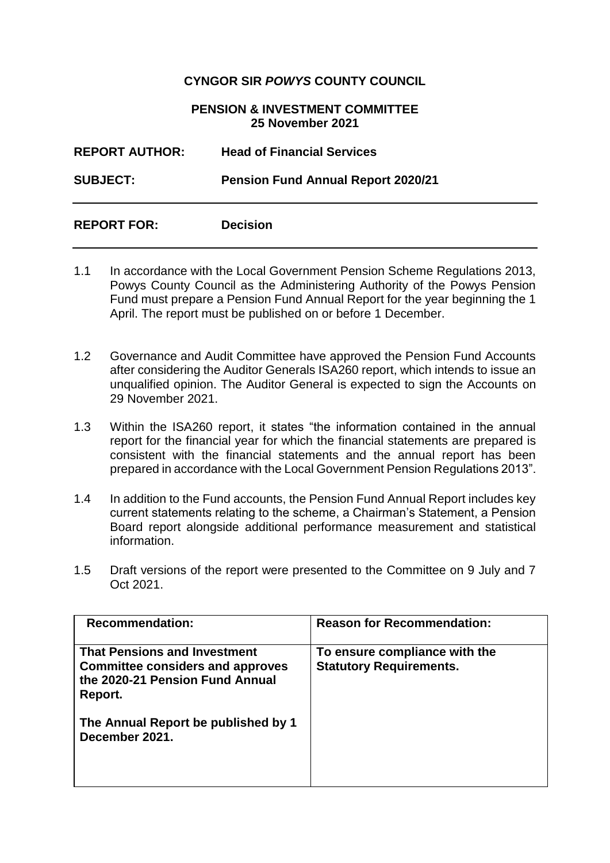## **CYNGOR SIR** *POWYS* **COUNTY COUNCIL**

## **PENSION & INVESTMENT COMMITTEE 25 November 2021**

| <b>REPORT AUTHOR:</b> | <b>Head of Financial Services</b>         |
|-----------------------|-------------------------------------------|
| <b>SUBJECT:</b>       | <b>Pension Fund Annual Report 2020/21</b> |
| <b>REPORT FOR:</b>    | <b>Decision</b>                           |

- 1.1 In accordance with the Local Government Pension Scheme Regulations 2013, Powys County Council as the Administering Authority of the Powys Pension Fund must prepare a Pension Fund Annual Report for the year beginning the 1 April. The report must be published on or before 1 December.
- 1.2 Governance and Audit Committee have approved the Pension Fund Accounts after considering the Auditor Generals ISA260 report, which intends to issue an unqualified opinion. The Auditor General is expected to sign the Accounts on 29 November 2021.
- 1.3 Within the ISA260 report, it states "the information contained in the annual report for the financial year for which the financial statements are prepared is consistent with the financial statements and the annual report has been prepared in accordance with the Local Government Pension Regulations 2013".
- 1.4 In addition to the Fund accounts, the Pension Fund Annual Report includes key current statements relating to the scheme, a Chairman's Statement, a Pension Board report alongside additional performance measurement and statistical information.
- 1.5 Draft versions of the report were presented to the Committee on 9 July and 7 Oct 2021.

| <b>Recommendation:</b>                                                                                                       | <b>Reason for Recommendation:</b>                               |
|------------------------------------------------------------------------------------------------------------------------------|-----------------------------------------------------------------|
| <b>That Pensions and Investment</b><br><b>Committee considers and approves</b><br>the 2020-21 Pension Fund Annual<br>Report. | To ensure compliance with the<br><b>Statutory Requirements.</b> |
| The Annual Report be published by 1<br>December 2021.                                                                        |                                                                 |